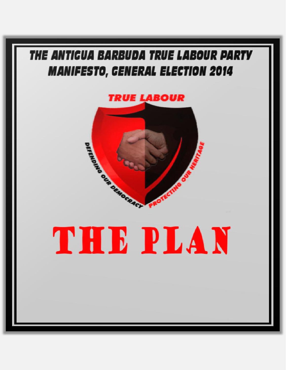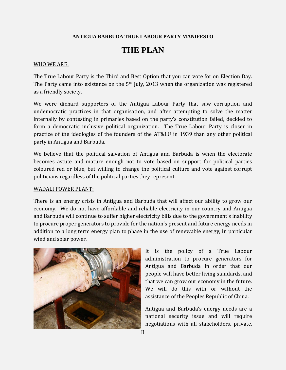#### **ANTIGUA BARBUDA TRUE LABOUR PARTY MANIFESTO**

# **THE PLAN**

#### WHO WE ARE:

The True Labour Party is the Third and Best Option that you can vote for on Election Day. The Party came into existence on the  $5<sup>th</sup>$  July, 2013 when the organization was registered as a friendly society.

We were diehard supporters of the Antigua Labour Party that saw corruption and undemocratic practices in that organisation, and after attempting to solve the matter internally by contesting in primaries based on the party's constitution failed, decided to form a democratic inclusive political organization. The True Labour Party is closer in practice of the ideologies of the founders of the AT&LU in 1939 than any other political party in Antigua and Barbuda.

We believe that the political salvation of Antigua and Barbuda is when the electorate becomes astute and mature enough not to vote based on support for political parties coloured red or blue, but willing to change the political culture and vote against corrupt politicians regardless of the political parties they represent.

#### WADALI POWER PLANT:

There is an energy crisis in Antigua and Barbuda that will affect our ability to grow our economy. We do not have affordable and reliable electricity in our country and Antigua and Barbuda will continue to suffer higher electricity bills due to the government's inability to procure proper generators to provide for the nation's present and future energy needs in addition to a long term energy plan to phase in the use of renewable energy, in particular wind and solar power.



It is the policy of a True Labour administration to procure generators for Antigua and Barbuda in order that our people will have better living standards, and that we can grow our economy in the future. We will do this with or without the assistance of the Peoples Republic of China.

Antigua and Barbuda's energy needs are a national security issue and will require negotiations with all stakeholders, private,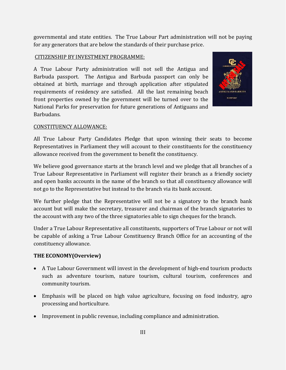governmental and state entities. The True Labour Part administration will not be paying for any generators that are below the standards of their purchase price.

## CITIZENSHIP BY INVESTMENT PROGRAMME:

A True Labour Party administration will not sell the Antigua and Barbuda passport. The Antigua and Barbuda passport can only be obtained at birth, marriage and through application after stipulated requirements of residency are satisfied. All the last remaining beach front properties owned by the government will be turned over to the National Parks for preservation for future generations of Antiguans and Barbudans.



## CONSTITUENCY ALLOWANCE:

All True Labour Party Candidates Pledge that upon winning their seats to become Representatives in Parliament they will account to their constituents for the constituency allowance received from the government to benefit the constituency.

We believe good governance starts at the branch level and we pledge that all branches of a True Labour Representative in Parliament will register their branch as a friendly society and open banks accounts in the name of the branch so that all constituency allowance will not go to the Representative but instead to the branch via its bank account.

We further pledge that the Representative will not be a signatory to the branch bank account but will make the secretary, treasurer and chairman of the branch signatories to the account with any two of the three signatories able to sign cheques for the branch.

Under a True Labour Representative all constituents, supporters of True Labour or not will be capable of asking a True Labour Constituency Branch Office for an accounting of the constituency allowance.

# **THE ECONOMY(Overview)**

- A Tue Labour Government will invest in the development of high-end tourism products such as adventure tourism, nature tourism, cultural tourism, conferences and community tourism.
- Emphasis will be placed on high value agriculture, focusing on food industry, agro processing and horticulture.
- Improvement in public revenue, including compliance and administration.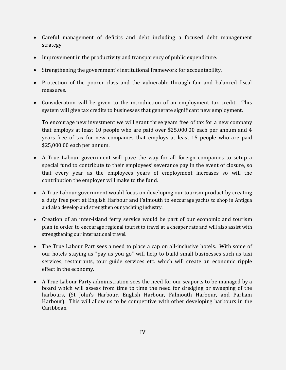- Careful management of deficits and debt including a focused debt management strategy.
- Improvement in the productivity and transparency of public expenditure.
- Strengthening the government's institutional framework for accountability.
- Protection of the poorer class and the vulnerable through fair and balanced fiscal measures.
- Consideration will be given to the introduction of an employment tax credit. This system will give tax credits to businesses that generate significant new employment.

To encourage new investment we will grant three years free of tax for a new company that employs at least 10 people who are paid over \$25,000.00 each per annum and 4 years free of tax for new companies that employs at least 15 people who are paid \$25,000.00 each per annum.

- A True Labour government will pave the way for all foreign companies to setup a special fund to contribute to their employees' severance pay in the event of closure, so that every year as the employees years of employment increases so will the contribution the employer will make to the fund.
- A True Labour government would focus on developing our tourism product by creating a duty free port at English Harbour and Falmouth to encourage yachts to shop in Antigua and also develop and strengthen our yachting industry.
- Creation of an inter-island ferry service would be part of our economic and tourism plan in order to encourage regional tourist to travel at a cheaper rate and will also assist with strengthening our international travel.
- The True Labour Part sees a need to place a cap on all-inclusive hotels. With some of our hotels staying as "pay as you go" will help to build small businesses such as taxi services, restaurants, tour guide services etc. which will create an economic ripple effect in the economy.
- A True Labour Party administration sees the need for our seaports to be managed by a board which will assess from time to time the need for dredging or sweeping of the harbours, (St John's Harbour, English Harbour, Falmouth Harbour, and Parham Harbour). This will allow us to be competitive with other developing harbours in the Caribbean.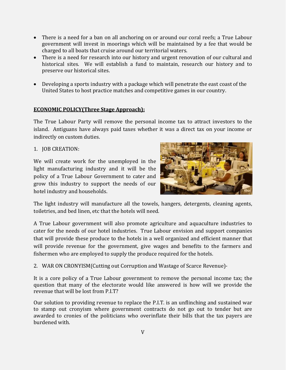- There is a need for a ban on all anchoring on or around our coral reefs; a True Labour government will invest in moorings which will be maintained by a fee that would be charged to all boats that cruise around our territorial waters.
- There is a need for research into our history and urgent renovation of our cultural and historical sites. We will establish a fund to maintain, research our history and to preserve our historical sites.
- Developing a sports industry with a package which will penetrate the east coast of the United States to host practice matches and competitive games in our country.

# **ECONOMIC POLICY(Three Stage Approach):**

The True Labour Party will remove the personal income tax to attract investors to the island. Antiguans have always paid taxes whether it was a direct tax on your income or indirectly on custom duties.

## 1. JOB CREATION:

We will create work for the unemployed in the light manufacturing industry and it will be the policy of a True Labour Government to cater and grow this industry to support the needs of our hotel industry and households.



The light industry will manufacture all the towels, hangers, detergents, cleaning agents, toiletries, and bed linen, etc that the hotels will need.

A True Labour government will also promote agriculture and aquaculture industries to cater for the needs of our hotel industries. True Labour envision and support companies that will provide these produce to the hotels in a well organized and efficient manner that will provide revenue for the government, give wages and benefits to the farmers and fishermen who are employed to supply the produce required for the hotels.

2. WAR ON CRONYISM(Cutting out Corruption and Wastage of Scarce Revenue)-

It is a core policy of a True Labour government to remove the personal income tax; the question that many of the electorate would like answered is how will we provide the revenue that will be lost from P.I.T?

Our solution to providing revenue to replace the P.I.T. is an unflinching and sustained war to stamp out cronyism where government contracts do not go out to tender but are awarded to cronies of the politicians who overinflate their bills that the tax payers are burdened with.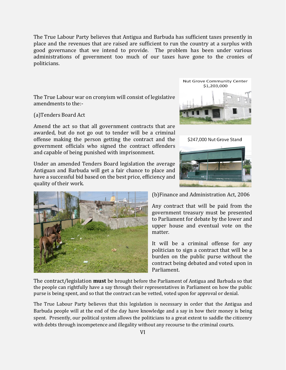The True Labour Party believes that Antigua and Barbuda has sufficient taxes presently in place and the revenues that are raised are sufficient to run the country at a surplus with good governance that we intend to provide. The problem has been under various administrations of government too much of our taxes have gone to the cronies of politicians.

The True Labour war on cronyism will consist of legislative amendments to the:-

(a)Tenders Board Act

Amend the act so that all government contracts that are awarded, but do not go out to tender will be a criminal offense making the person getting the contract and the government officials who signed the contract offenders and capable of being punished with imprisonment.

Under an amended Tenders Board legislation the average Antiguan and Barbuda will get a fair chance to place and have a successful bid based on the best price, efficiency and quality of their work.







(b)Finance and Administration Act, 2006

Any contract that will be paid from the government treasury must be presented to Parliament for debate by the lower and upper house and eventual vote on the matter.

It will be a criminal offense for any politician to sign a contract that will be a burden on the public purse without the contract being debated and voted upon in Parliament.

The contract/legislation **must** be brought before the Parliament of Antigua and Barbuda so that the people can rightfully have a say through their representatives in Parliament on how the public purse is being spent, and so that the contract can be vetted, voted upon for approval or denial.

The True Labour Party believes that this legislation is necessary in order that the Antigua and Barbuda people will at the end of the day have knowledge and a say in how their money is being spent. Presently, our political system allows the politicians to a great extent to saddle the citizenry with debts through incompetence and illegality without any recourse to the criminal courts.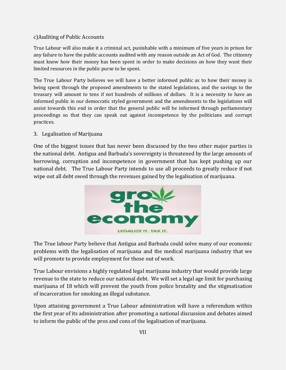## c)Auditing of Public Accounts

True Labour will also make it a criminal act, punishable with a minimum of five years in prison for any failure to have the public accounts audited with any reason outside an Act of God. The citizenry must know how their money has been spent in order to make decisions on how they want their limited resources in the public purse to be spent.

The True Labour Party believes we will have a better informed public as to how their money is being spent through the proposed amendments to the stated legislations, and the savings to the treasury will amount to tens if not hundreds of millions of dollars. It is a necessity to have an informed public in our democratic styled government and the amendments to the legislations will assist towards this end in order that the general public will be informed through parliamentary proceedings so that they can speak out against incompetence by the politicians and corrupt practices.

#### 3. Legalisation of Marijuana

One of the biggest issues that has never been discussed by the two other major parties is the national debt. Antigua and Barbuda's sovereignty is threatened by the large amounts of borrowing, corruption and incompetence in government that has kept pushing up our national debt. The True Labour Party intends to use all proceeds to greatly reduce if not wipe out all debt owed through the revenues gained by the legalisation of marijuana.



The True labour Party believe that Antigua and Barbuda could solve many of our economic problems with the legalisation of marijuana and the medical marijuana industry that we will promote to provide employment for those out of work.

True Labour envisions a highly regulated legal marijuana industry that would provide large revenue to the state to reduce our national debt. We will set a legal age limit for purchasing marijuana of 18 which will prevent the youth from police brutality and the stigmatisation of incarceration for smoking an illegal substance.

Upon attaining government a True Labour administration will have a referendum within the first year of its administration after promoting a national discussion and debates aimed to inform the public of the pros and cons of the legalisation of marijuana.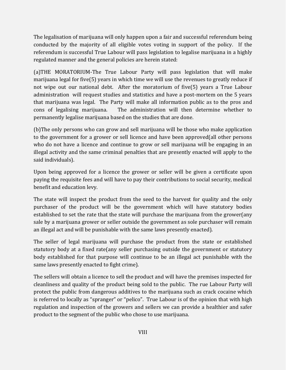The legalisation of marijuana will only happen upon a fair and successful referendum being conducted by the majority of all eligible votes voting in support of the policy. If the referendum is successful True Labour will pass legislation to legalise marijuana in a highly regulated manner and the general policies are herein stated:

(a)THE MORATORIUM-The True Labour Party will pass legislation that will make marijuana legal for five(5) years in which time we will use the revenues to greatly reduce if not wipe out our national debt. After the moratorium of five(5) years a True Labour administration will request studies and statistics and have a post-mortem on the 5 years that marijuana was legal. The Party will make all information public as to the pros and cons of legalising marijuana. The administration will then determine whether to permanently legalise marijuana based on the studies that are done.

(b)The only persons who can grow and sell marijuana will be those who make application to the government for a grower or sell licence and have been approved(all other persons who do not have a licence and continue to grow or sell marijuana will be engaging in an illegal activity and the same criminal penalties that are presently enacted will apply to the said individuals).

Upon being approved for a licence the grower or seller will be given a certificate upon paying the requisite fees and will have to pay their contributions to social security, medical benefit and education levy.

The state will inspect the product from the seed to the harvest for quality and the only purchaser of the product will be the government which will have statutory bodies established to set the rate that the state will purchase the marijuana from the grower(any sale by a marijuana grower or seller outside the government as sole purchaser will remain an illegal act and will be punishable with the same laws presently enacted).

The seller of legal marijuana will purchase the product from the state or established statutory body at a fixed rate(any seller purchasing outside the government or statutory body established for that purpose will continue to be an illegal act punishable with the same laws presently enacted to fight crime).

The sellers will obtain a licence to sell the product and will have the premises inspected for cleanliness and quality of the product being sold to the public. The rue Labour Party will protect the public from dangerous additives to the marijuana such as crack cocaine which is referred to locally as "spranger" or "pelico". True Labour is of the opinion that with high regulation and inspection of the growers and sellers we can provide a healthier and safer product to the segment of the public who chose to use marijuana.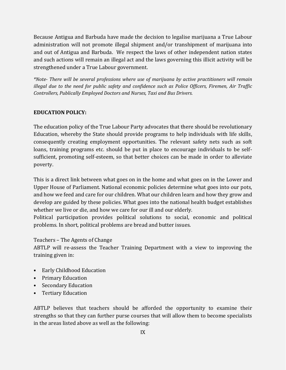Because Antigua and Barbuda have made the decision to legalise marijuana a True Labour administration will not promote illegal shipment and/or transhipment of marijuana into and out of Antigua and Barbuda. We respect the laws of other independent nation states and such actions will remain an illegal act and the laws governing this illicit activity will be strengthened under a True Labour government.

*\*Note- There will be several professions where use of marijuana by active practitioners will remain illegal due to the need for public safety and confidence such as Police Officers, Firemen, Air Traffic Controllers, Publically Employed Doctors and Nurses, Taxi and Bus Drivers.*

## **EDUCATION POLICY:**

The education policy of the True Labour Party advocates that there should be revolutionary Education, whereby the State should provide programs to help individuals with life skills, consequently creating employment opportunities. The relevant safety nets such as soft loans, training programs etc. should be put in place to encourage individuals to be selfsufficient, promoting self-esteem, so that better choices can be made in order to alleviate poverty.

This is a direct link between what goes on in the home and what goes on in the Lower and Upper House of Parliament. National economic policies determine what goes into our pots, and how we feed and care for our children. What our children learn and how they grow and develop are guided by these policies. What goes into the national health budget establishes whether we live or die, and how we care for our ill and our elderly.

Political participation provides political solutions to social, economic and political problems. In short, political problems are bread and butter issues.

Teachers – The Agents of Change

ABTLP will re-assess the Teacher Training Department with a view to improving the training given in:

- Early Childhood Education
- Primary Education
- Secondary Education
- Tertiary Education

ABTLP believes that teachers should be afforded the opportunity to examine their strengths so that they can further purse courses that will allow them to become specialists in the areas listed above as well as the following: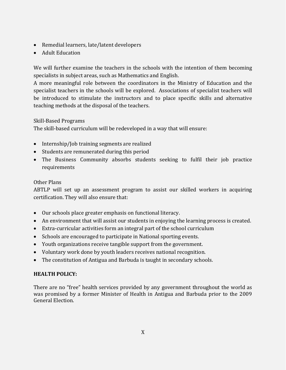- Remedial learners, late/latent developers
- Adult Education

We will further examine the teachers in the schools with the intention of them becoming specialists in subject areas, such as Mathematics and English.

A more meaningful role between the coordinators in the Ministry of Education and the specialist teachers in the schools will be explored. Associations of specialist teachers will be introduced to stimulate the instructors and to place specific skills and alternative teaching methods at the disposal of the teachers.

# Skill-Based Programs

The skill-based curriculum will be redeveloped in a way that will ensure:

- Internship/Job training segments are realized
- Students are remunerated during this period
- The Business Community absorbs students seeking to fulfil their job practice requirements

## Other Plans

ABTLP will set up an assessment program to assist our skilled workers in acquiring certification. They will also ensure that:

- Our schools place greater emphasis on functional literacy.
- An environment that will assist our students in enjoying the learning process is created.
- Extra-curricular activities form an integral part of the school curriculum
- Schools are encouraged to participate in National sporting events.
- Youth organizations receive tangible support from the government.
- Voluntary work done by youth leaders receives national recognition.
- The constitution of Antigua and Barbuda is taught in secondary schools.

## **HEALTH POLICY:**

There are no "free" health services provided by any government throughout the world as was promised by a former Minister of Health in Antigua and Barbuda prior to the 2009 General Election.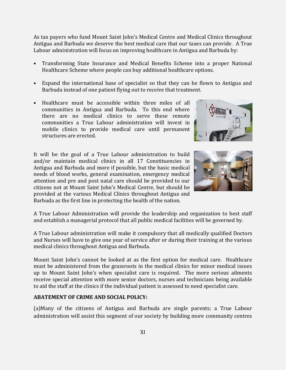As tax payers who fund Mount Saint John's Medical Centre and Medical Clinics throughout Antigua and Barbuda we deserve the best medical care that our taxes can provide. A True Labour administration will focus on improving healthcare in Antigua and Barbuda by:

- Transforming State Insurance and Medical Benefits Scheme into a proper National Healthcare Scheme where people can buy additional healthcare options.
- Expand the international base of specialist so that they can be flown to Antigua and Barbuda instead of one patient flying out to receive that treatment.
- Healthcare must be accessible within three miles of all communities in Antigua and Barbuda. To this end where there are no medical clinics to serve these remote communities a True Labour administration will invest in mobile clinics to provide medical care until permanent structures are erected.

It will be the goal of a True Labour administration to build and/or maintain medical clinics in all 17 Constituencies in Antigua and Barbuda and more if possible, but the basic medical needs of blood works, general examination, emergency medical attention and pre and post natal care should be provided to our citizens not at Mount Saint John's Medical Centre, but should be provided at the various Medical Clinics throughout Antigua and Barbuda as the first line in protecting the health of the nation.





A True Labour Administration will provide the leadership and organization to best staff and establish a managerial protocol that all public medical facilities will be governed by.

A True Labour administration will make it compulsory that all medically qualified Doctors and Nurses will have to give one year of service after or during their training at the various medical clinics throughout Antigua and Barbuda.

Mount Saint John's cannot be looked at as the first option for medical care. Healthcare must be administered from the grassroots in the medical clinics for minor medical issues up to Mount Saint John's when specialist care is required. The more serious ailments receive special attention with more senior doctors, nurses and technicians being available to aid the staff at the clinics if the individual patient is assessed to need specialist care.

#### **ABATEMENT OF CRIME AND SOCIAL POLICY:**

(a)Many of the citizens of Antigua and Barbuda are single parents; a True Labour administration will assist this segment of our society by building more community centres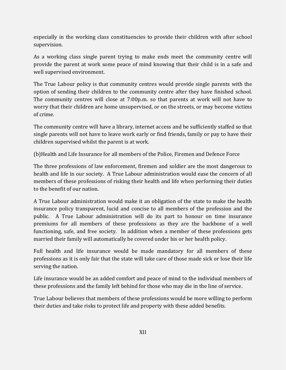especially in the working class constituencies to provide their children with after school supervision.

As a working class single parent trying to make ends meet the community centre will provide the parent at work some peace of mind knowing that their child is in a safe and well supervised environment.

The True Labour policy is that community centres would provide single parents with the option of sending their children to the community centre after they have finished school. The community centres will close at 7:00p.m. so that parents at work will not have to worry that their children are home unsupervised, or on the streets, or may become victims of crime.

The community centre will have a library, internet access and be sufficiently staffed so that single parents will not have to leave work early or find friends, family or pay to have their children supervised whilst the parent is at work.

(b)Health and Life Insurance for all members of the Police, Firemen and Defence Force

The three professions of law enforcement, firemen and soldier are the most dangerous to health and life in our society. A True Labour administration would ease the concern of all members of these professions of risking their health and life when performing their duties to the benefit of our nation.

A True Labour administration would make it an obligation of the state to make the health insurance policy transparent, lucid and concise to all members of the profession and the public. A True Labour administration will do its part to honour on time insurance premiums for all members of these professions as they are the backbone of a well functioning, safe, and free society. In addition when a member of these professions gets married their family will automatically be covered under his or her health policy.

Full health and life insurance would be made mandatory for all members of these professions as it is only fair that the state will take care of those made sick or lose their life serving the nation.

Life insurance would be an added comfort and peace of mind to the individual members of these professions and the family left behind for those who may die in the line of service.

True Labour believes that members of these professions would be more willing to perform their duties and take risks to protect life and property with these added benefits.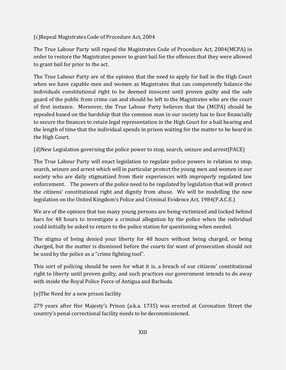(c)Repeal Magistrates Code of Procedure Act, 2004

The True Labour Party will repeal the Magistrates Code of Procedure Act, 2004(MCPA) in order to restore the Magistrates power to grant bail for the offences that they were allowed to grant bail for prior to the act.

The True Labour Party are of the opinion that the need to apply for bail in the High Court when we have capable men and women as Magistrates that can competently balance the individuals constitutional right to be deemed innocent until proven guilty and the safe guard of the public from crime can and should be left to the Magistrates who are the court of first instance. Moreover, the True Labour Party believes that the (MCPA) should be repealed based on the hardship that the common man in our society has to face financially to secure the finances to retain legal representation in the High Court for a bail hearing and the length of time that the individual spends in prison waiting for the matter to be heard in the High Court.

(d)New Legislation governing the police power to stop, search, seizure and arrest(PACE)

The True Labour Party will enact legislation to regulate police powers in relation to stop, search, seizure and arrest which will in particular protect the young men and women in our society who are daily stigmatized from their experiences with improperly regulated law enforcement. The powers of the police need to be regulated by legislation that will protect the citizens' constitutional right and dignity from abuse. We will be modelling the new legislation on the United Kingdom's Police and Criminal Evidence Act, 1984(P.A.C.E.)

We are of the opinion that too many young persons are being victimized and locked behind bars for 48 hours to investigate a criminal allegation by the police when the individual could initially be asked to return to the police station for questioning when needed.

The stigma of being denied your liberty for 48 hours without being charged, or being charged, but the matter is dismissed before the courts for want of prosecution should not be used by the police as a "crime fighting tool".

This sort of policing should be seen for what it is, a breach of our citizens' constitutional right to liberty until proven guilty, and such practices our government intends to do away with inside the Royal Police Force of Antigua and Barbuda.

(e)The Need for a new prison facility

279 years after Her Majesty's Prison (a.k.a. 1735) was erected at Coronation Street the country's penal correctional facility needs to be decommissioned.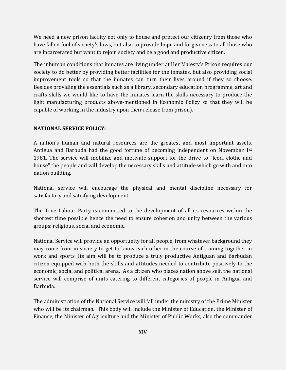We need a new prison facility not only to house and protect our citizenry from those who have fallen foul of society's laws, but also to provide hope and forgiveness to all those who are incarcerated but want to rejoin society and be a good and productive citizen.

The inhuman conditions that inmates are living under at Her Majesty's Prison requires our society to do better by providing better facilities for the inmates, but also providing social improvement tools so that the inmates can turn their lives around if they so choose. Besides providing the essentials such as a library, secondary education programme, art and crafts skills we would like to have the inmates learn the skills necessary to produce the light manufacturing products above-mentioned in Economic Policy so that they will be capable of working in the industry upon their release from prison).

# **NATIONAL SERVICE POLICY:**

A nation's human and natural resources are the greatest and most important assets. Antigua and Barbuda had the good fortune of becoming independent on November 1st 1981. The service will mobilize and motivate support for the drive to "feed, clothe and house" the people and will develop the necessary skills and attitude which go with and into nation building.

National service will encourage the physical and mental discipline necessary for satisfactory and satisfying development.

The True Labour Party is committed to the development of all its resources within the shortest time possible hence the need to ensure cohesion and unity between the various groups: religious, social and economic.

National Service will provide an opportunity for all people, from whatever background they may come from in society to get to know each other in the course of training together in work and sports. Its aim will be to produce a truly productive Antiguan and Barbudan citizen equipped with both the skills and attitudes needed to contribute positively to the economic, social and political arena. As a citizen who places nation above self, the national service will comprise of units catering to different categories of people in Antigua and Barbuda.

The administration of the National Service will fall under the ministry of the Prime Minister who will be its chairman. This body will include the Minister of Education, the Minister of Finance, the Minister of Agriculture and the Minister of Public Works, also the commander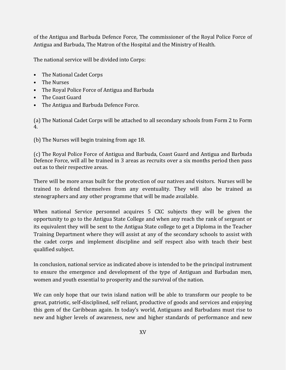of the Antigua and Barbuda Defence Force, The commissioner of the Royal Police Force of Antigua and Barbuda, The Matron of the Hospital and the Ministry of Health.

The national service will be divided into Corps:

- The National Cadet Corps
- The Nurses
- The Royal Police Force of Antigua and Barbuda
- The Coast Guard
- The Antigua and Barbuda Defence Force.

(a) The National Cadet Corps will be attached to all secondary schools from Form 2 to Form 4.

(b) The Nurses will begin training from age 18.

(c) The Royal Police Force of Antigua and Barbuda, Coast Guard and Antigua and Barbuda Defence Force, will all be trained in 3 areas as recruits over a six months period then pass out as to their respective areas.

There will be more areas built for the protection of our natives and visitors. Nurses will be trained to defend themselves from any eventuality. They will also be trained as stenographers and any other programme that will be made available.

When national Service personnel acquires 5 CXC subjects they will be given the opportunity to go to the Antigua State College and when any reach the rank of sergeant or its equivalent they will be sent to the Antigua State college to get a Diploma in the Teacher Training Department where they will assist at any of the secondary schools to assist with the cadet corps and implement discipline and self respect also with teach their best qualified subject.

In conclusion, national service as indicated above is intended to be the principal instrument to ensure the emergence and development of the type of Antiguan and Barbudan men, women and youth essential to prosperity and the survival of the nation.

We can only hope that our twin island nation will be able to transform our people to be great, patriotic, self-disciplined, self reliant, productive of goods and services and enjoying this gem of the Caribbean again. In today's world, Antiguans and Barbudans must rise to new and higher levels of awareness, new and higher standards of performance and new